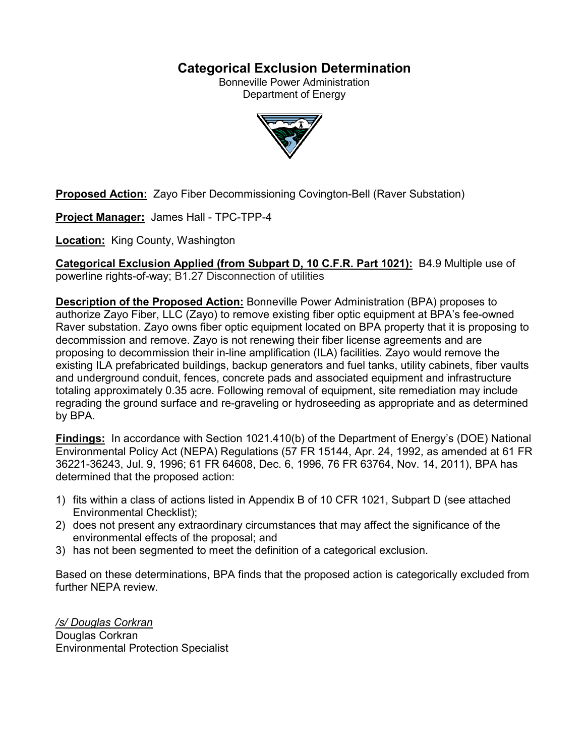## **Categorical Exclusion Determination**

Bonneville Power Administration Department of Energy



**Proposed Action:** Zayo Fiber Decommissioning Covington-Bell (Raver Substation)

**Project Manager:** James Hall - TPC-TPP-4

**Location:** King County, Washington

**Categorical Exclusion Applied (from Subpart D, 10 C.F.R. Part 1021):** B4.9 Multiple use of powerline rights-of-way; B1.27 Disconnection of utilities

**Description of the Proposed Action:** Bonneville Power Administration (BPA) proposes to authorize Zayo Fiber, LLC (Zayo) to remove existing fiber optic equipment at BPA's fee-owned Raver substation. Zayo owns fiber optic equipment located on BPA property that it is proposing to decommission and remove. Zayo is not renewing their fiber license agreements and are proposing to decommission their in-line amplification (ILA) facilities. Zayo would remove the existing ILA prefabricated buildings, backup generators and fuel tanks, utility cabinets, fiber vaults and underground conduit, fences, concrete pads and associated equipment and infrastructure totaling approximately 0.35 acre. Following removal of equipment, site remediation may include regrading the ground surface and re-graveling or hydroseeding as appropriate and as determined by BPA.

**Findings:** In accordance with Section 1021.410(b) of the Department of Energy's (DOE) National Environmental Policy Act (NEPA) Regulations (57 FR 15144, Apr. 24, 1992, as amended at 61 FR 36221-36243, Jul. 9, 1996; 61 FR 64608, Dec. 6, 1996, 76 FR 63764, Nov. 14, 2011), BPA has determined that the proposed action:

- 1) fits within a class of actions listed in Appendix B of 10 CFR 1021, Subpart D (see attached Environmental Checklist);
- 2) does not present any extraordinary circumstances that may affect the significance of the environmental effects of the proposal; and
- 3) has not been segmented to meet the definition of a categorical exclusion.

Based on these determinations, BPA finds that the proposed action is categorically excluded from further NEPA review.

*/s/ Douglas Corkran* Douglas Corkran Environmental Protection Specialist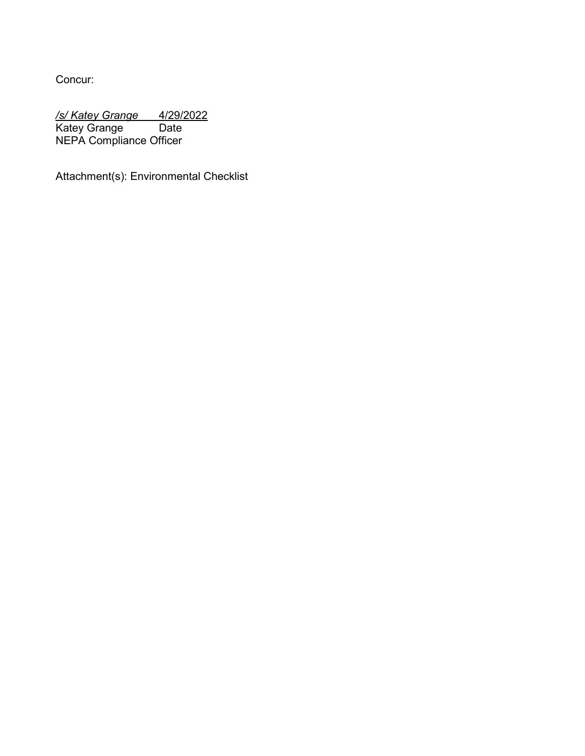Concur:

*/s/ Katey Grange* 4/29/2022 Katey Grange Date NEPA Compliance Officer

Attachment(s): Environmental Checklist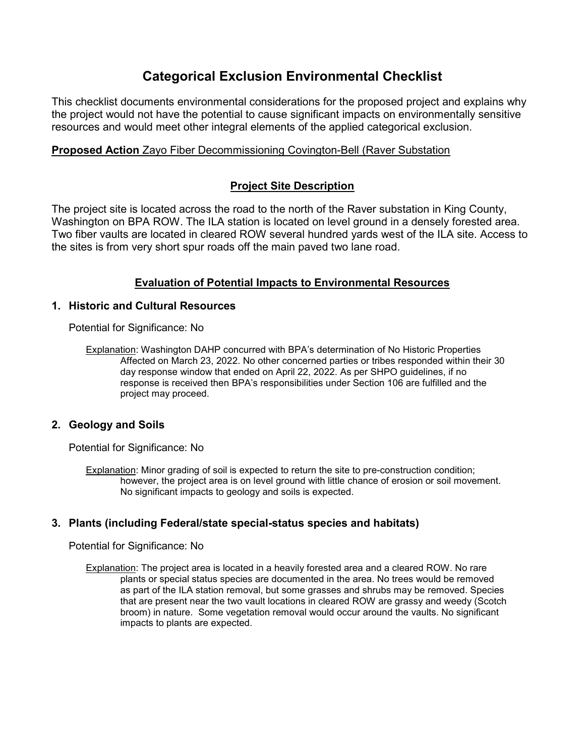# **Categorical Exclusion Environmental Checklist**

This checklist documents environmental considerations for the proposed project and explains why the project would not have the potential to cause significant impacts on environmentally sensitive resources and would meet other integral elements of the applied categorical exclusion.

### **Proposed Action** Zayo Fiber Decommissioning Covington-Bell (Raver Substation

## **Project Site Description**

The project site is located across the road to the north of the Raver substation in King County, Washington on BPA ROW. The ILA station is located on level ground in a densely forested area. Two fiber vaults are located in cleared ROW several hundred yards west of the ILA site. Access to the sites is from very short spur roads off the main paved two lane road.

## **Evaluation of Potential Impacts to Environmental Resources**

#### **1. Historic and Cultural Resources**

Potential for Significance: No

Explanation: Washington DAHP concurred with BPA's determination of No Historic Properties Affected on March 23, 2022. No other concerned parties or tribes responded within their 30 day response window that ended on April 22, 2022. As per SHPO guidelines, if no response is received then BPA's responsibilities under Section 106 are fulfilled and the project may proceed.

#### **2. Geology and Soils**

Potential for Significance: No

Explanation: Minor grading of soil is expected to return the site to pre-construction condition; however, the project area is on level ground with little chance of erosion or soil movement. No significant impacts to geology and soils is expected.

#### **3. Plants (including Federal/state special-status species and habitats)**

Potential for Significance: No

Explanation: The project area is located in a heavily forested area and a cleared ROW. No rare plants or special status species are documented in the area. No trees would be removed as part of the ILA station removal, but some grasses and shrubs may be removed. Species that are present near the two vault locations in cleared ROW are grassy and weedy (Scotch broom) in nature. Some vegetation removal would occur around the vaults. No significant impacts to plants are expected.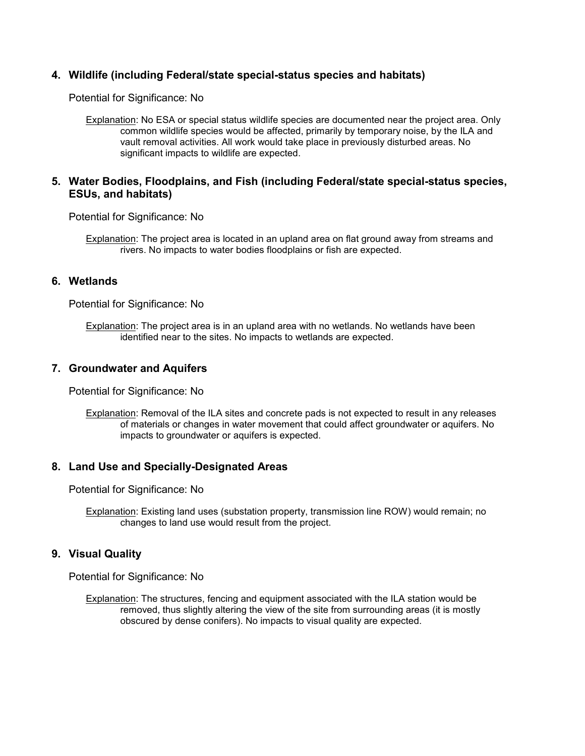#### **4. Wildlife (including Federal/state special-status species and habitats)**

Potential for Significance: No

Explanation: No ESA or special status wildlife species are documented near the project area. Only common wildlife species would be affected, primarily by temporary noise, by the ILA and vault removal activities. All work would take place in previously disturbed areas. No significant impacts to wildlife are expected.

#### **5. Water Bodies, Floodplains, and Fish (including Federal/state special-status species, ESUs, and habitats)**

Potential for Significance: No

Explanation: The project area is located in an upland area on flat ground away from streams and rivers. No impacts to water bodies floodplains or fish are expected.

#### **6. Wetlands**

Potential for Significance: No

Explanation: The project area is in an upland area with no wetlands. No wetlands have been identified near to the sites. No impacts to wetlands are expected.

#### **7. Groundwater and Aquifers**

Potential for Significance: No

Explanation: Removal of the ILA sites and concrete pads is not expected to result in any releases of materials or changes in water movement that could affect groundwater or aquifers. No impacts to groundwater or aquifers is expected.

#### **8. Land Use and Specially-Designated Areas**

Potential for Significance: No

Explanation: Existing land uses (substation property, transmission line ROW) would remain; no changes to land use would result from the project.

#### **9. Visual Quality**

Potential for Significance: No

Explanation: The structures, fencing and equipment associated with the ILA station would be removed, thus slightly altering the view of the site from surrounding areas (it is mostly obscured by dense conifers). No impacts to visual quality are expected.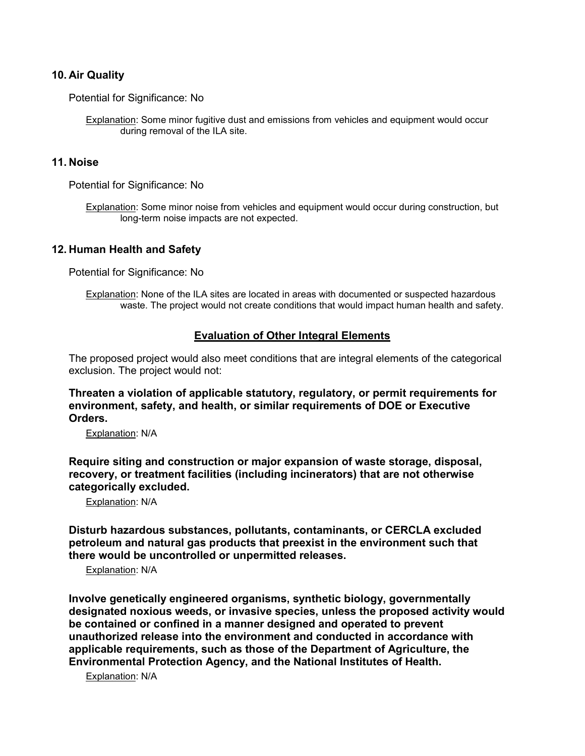#### **10. Air Quality**

Potential for Significance: No

Explanation: Some minor fugitive dust and emissions from vehicles and equipment would occur during removal of the ILA site.

#### **11. Noise**

Potential for Significance: No

Explanation: Some minor noise from vehicles and equipment would occur during construction, but long-term noise impacts are not expected.

#### **12. Human Health and Safety**

Potential for Significance: No

Explanation: None of the ILA sites are located in areas with documented or suspected hazardous waste. The project would not create conditions that would impact human health and safety.

#### **Evaluation of Other Integral Elements**

The proposed project would also meet conditions that are integral elements of the categorical exclusion. The project would not:

**Threaten a violation of applicable statutory, regulatory, or permit requirements for environment, safety, and health, or similar requirements of DOE or Executive Orders.**

Explanation: N/A

**Require siting and construction or major expansion of waste storage, disposal, recovery, or treatment facilities (including incinerators) that are not otherwise categorically excluded.**

Explanation: N/A

**Disturb hazardous substances, pollutants, contaminants, or CERCLA excluded petroleum and natural gas products that preexist in the environment such that there would be uncontrolled or unpermitted releases.**

Explanation: N/A

**Involve genetically engineered organisms, synthetic biology, governmentally designated noxious weeds, or invasive species, unless the proposed activity would be contained or confined in a manner designed and operated to prevent unauthorized release into the environment and conducted in accordance with applicable requirements, such as those of the Department of Agriculture, the Environmental Protection Agency, and the National Institutes of Health.**

Explanation: N/A